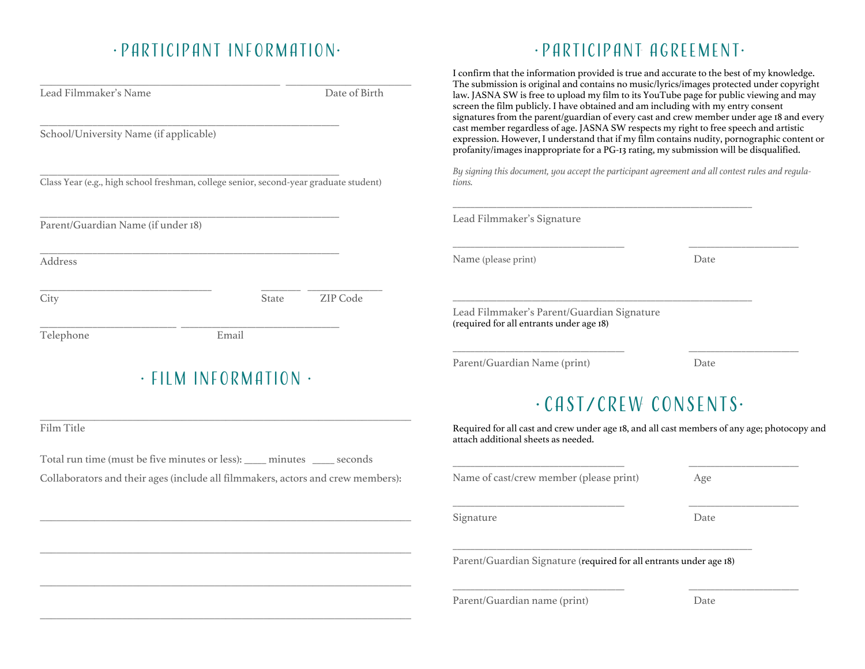## • PARTICIPANT INFORMATION•

\_\_\_\_\_\_\_\_\_\_\_\_\_\_\_\_\_\_\_\_\_\_\_\_\_\_\_\_\_\_\_\_\_\_\_\_\_\_\_\_\_\_\_\_\_\_\_\_\_\_\_\_\_\_\_\_\_\_\_\_\_\_\_\_\_\_\_\_

| Lead Filmmaker's Name                  | Date of Birth                                                                         | I confirm that the information provided is true and accurate to the best of my knowledge.<br>The submission is original and contains no music/lyrics/images protected under copyright<br>law. JASNA SW is free to upload my film to its YouTube page for public viewing and may<br>screen the film publicly. I have obtained and am including with my entry consent<br>signatures from the parent/guardian of every cast and crew member under age 18 and every |      |
|----------------------------------------|---------------------------------------------------------------------------------------|-----------------------------------------------------------------------------------------------------------------------------------------------------------------------------------------------------------------------------------------------------------------------------------------------------------------------------------------------------------------------------------------------------------------------------------------------------------------|------|
| School/University Name (if applicable) |                                                                                       | cast member regardless of age. JASNA SW respects my right to free speech and artistic<br>expression. However, I understand that if my film contains nudity, pornographic content or<br>profanity/images inappropriate for a PG-13 rating, my submission will be disqualified.                                                                                                                                                                                   |      |
|                                        | Class Year (e.g., high school freshman, college senior, second-year graduate student) | By signing this document, you accept the participant agreement and all contest rules and regula-<br>tions.                                                                                                                                                                                                                                                                                                                                                      |      |
| Parent/Guardian Name (if under 18)     |                                                                                       | Lead Filmmaker's Signature                                                                                                                                                                                                                                                                                                                                                                                                                                      |      |
| Address                                |                                                                                       | Name (please print)                                                                                                                                                                                                                                                                                                                                                                                                                                             | Date |
| City                                   | ZIP Code<br><b>State</b>                                                              | Lead Filmmaker's Parent/Guardian Signature                                                                                                                                                                                                                                                                                                                                                                                                                      |      |
| Telephone<br>Email                     |                                                                                       | (required for all entrants under age 18)                                                                                                                                                                                                                                                                                                                                                                                                                        |      |
|                                        | $\cdot$ FILM INFORMATION $\cdot$                                                      | Parent/Guardian Name (print)                                                                                                                                                                                                                                                                                                                                                                                                                                    | Date |
|                                        |                                                                                       | CAST/CREW CONSENTS.                                                                                                                                                                                                                                                                                                                                                                                                                                             |      |
| Film Title                             |                                                                                       | Required for all cast and crew under age 18, and all cast members of any age; photocopy and<br>attach additional sheets as needed.                                                                                                                                                                                                                                                                                                                              |      |
|                                        | Total run time (must be five minutes or less): ____ minutes ____ seconds              |                                                                                                                                                                                                                                                                                                                                                                                                                                                                 |      |
|                                        | Collaborators and their ages (include all filmmakers, actors and crew members):       | Name of cast/crew member (please print)                                                                                                                                                                                                                                                                                                                                                                                                                         | Age  |
|                                        |                                                                                       | Signature                                                                                                                                                                                                                                                                                                                                                                                                                                                       | Date |
|                                        |                                                                                       | Parent/Guardian Signature (required for all entrants under age 18)                                                                                                                                                                                                                                                                                                                                                                                              |      |
|                                        |                                                                                       | Parent/Guardian name (print)                                                                                                                                                                                                                                                                                                                                                                                                                                    | Date |

• PARTICIPANT AGREEMENT•